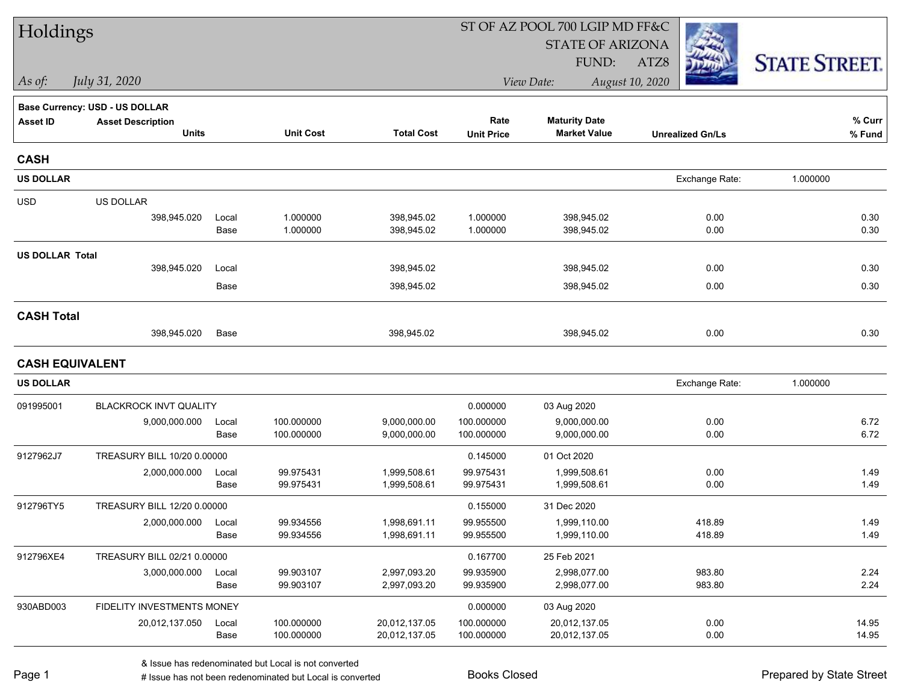| Holdings               |                                |       |                  |                   | ST OF AZ POOL 700 LGIP MD FF&C |                         |                         |                      |  |
|------------------------|--------------------------------|-------|------------------|-------------------|--------------------------------|-------------------------|-------------------------|----------------------|--|
|                        |                                |       |                  |                   |                                | <b>STATE OF ARIZONA</b> |                         |                      |  |
|                        |                                |       |                  |                   |                                | FUND:                   | ATZ8                    | <b>STATE STREET.</b> |  |
| $\vert$ As of:         | July 31, 2020                  |       |                  |                   |                                | View Date:              | August 10, 2020         |                      |  |
|                        | Base Currency: USD - US DOLLAR |       |                  |                   |                                |                         |                         |                      |  |
| <b>Asset ID</b>        | <b>Asset Description</b>       |       |                  |                   | Rate                           | <b>Maturity Date</b>    |                         | % Curr               |  |
|                        | <b>Units</b>                   |       | <b>Unit Cost</b> | <b>Total Cost</b> | <b>Unit Price</b>              | <b>Market Value</b>     | <b>Unrealized Gn/Ls</b> | % Fund               |  |
| <b>CASH</b>            |                                |       |                  |                   |                                |                         |                         |                      |  |
| <b>US DOLLAR</b>       |                                |       |                  |                   |                                |                         | Exchange Rate:          | 1.000000             |  |
| <b>USD</b>             | <b>US DOLLAR</b>               |       |                  |                   |                                |                         |                         |                      |  |
|                        | 398,945.020                    | Local | 1.000000         | 398,945.02        | 1.000000                       | 398,945.02              | 0.00                    | 0.30                 |  |
|                        |                                | Base  | 1.000000         | 398,945.02        | 1.000000                       | 398,945.02              | 0.00                    | 0.30                 |  |
| <b>US DOLLAR Total</b> |                                |       |                  |                   |                                |                         |                         |                      |  |
|                        | 398,945.020                    | Local |                  | 398,945.02        |                                | 398,945.02              | 0.00                    | 0.30                 |  |
|                        |                                | Base  |                  | 398,945.02        |                                | 398,945.02              | 0.00                    | 0.30                 |  |
| <b>CASH Total</b>      |                                |       |                  |                   |                                |                         |                         |                      |  |
|                        | 398,945.020                    | Base  |                  | 398,945.02        |                                | 398,945.02              | 0.00                    | 0.30                 |  |
| <b>CASH EQUIVALENT</b> |                                |       |                  |                   |                                |                         |                         |                      |  |
| <b>US DOLLAR</b>       |                                |       |                  |                   |                                |                         | Exchange Rate:          | 1.000000             |  |
| 091995001              | BLACKROCK INVT QUALITY         |       |                  |                   | 0.000000                       | 03 Aug 2020             |                         |                      |  |
|                        | 9,000,000.000                  | Local | 100.000000       | 9,000,000.00      | 100.000000                     | 9,000,000.00            | 0.00                    | 6.72                 |  |
|                        |                                | Base  | 100.000000       | 9,000,000.00      | 100.000000                     | 9,000,000.00            | 0.00                    | 6.72                 |  |
| 9127962J7              | TREASURY BILL 10/20 0.00000    |       |                  |                   | 0.145000                       | 01 Oct 2020             |                         |                      |  |
|                        | 2,000,000.000                  | Local | 99.975431        | 1,999,508.61      | 99.975431                      | 1,999,508.61            | 0.00                    | 1.49                 |  |
|                        |                                | Base  | 99.975431        | 1,999,508.61      | 99.975431                      | 1,999,508.61            | 0.00                    | 1.49                 |  |
| 912796TY5              | TREASURY BILL 12/20 0.00000    |       |                  |                   | 0.155000                       | 31 Dec 2020             |                         |                      |  |
|                        | 2,000,000.000                  | Local | 99.934556        | 1,998,691.11      | 99.955500                      | 1,999,110.00            | 418.89                  | 1.49                 |  |
|                        |                                | Base  | 99.934556        | 1,998,691.11      | 99.955500                      | 1,999,110.00            | 418.89                  | 1.49                 |  |
| 912796XE4              | TREASURY BILL 02/21 0.00000    |       |                  |                   | 0.167700                       | 25 Feb 2021             |                         |                      |  |
|                        | 3,000,000.000                  | Local | 99.903107        | 2,997,093.20      | 99.935900                      | 2,998,077.00            | 983.80                  | 2.24                 |  |
|                        |                                | Base  | 99.903107        | 2,997,093.20      | 99.935900                      | 2,998,077.00            | 983.80                  | 2.24                 |  |
| 930ABD003              | FIDELITY INVESTMENTS MONEY     |       |                  |                   | 0.000000                       | 03 Aug 2020             |                         |                      |  |
|                        | 20,012,137.050                 | Local | 100.000000       | 20,012,137.05     | 100.000000                     | 20,012,137.05           | 0.00                    | 14.95                |  |
|                        |                                | Base  | 100.000000       | 20,012,137.05     | 100.000000                     | 20,012,137.05           | 0.00                    | 14.95                |  |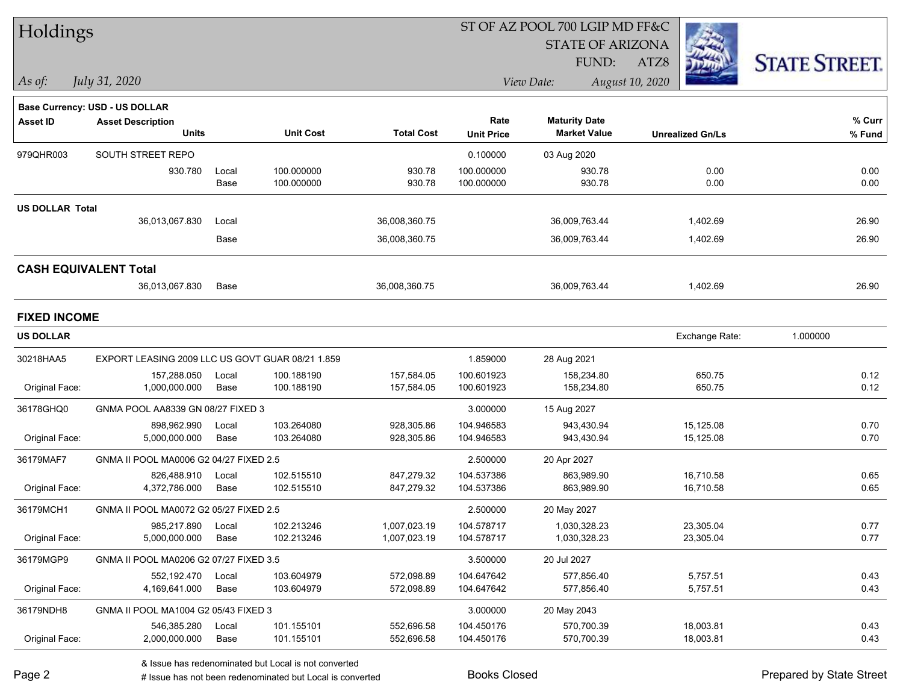| Holdings                     |                                                  |       |                  |                   |                   | ST OF AZ POOL 700 LGIP MD FF&C              |                         |                     |  |  |  |
|------------------------------|--------------------------------------------------|-------|------------------|-------------------|-------------------|---------------------------------------------|-------------------------|---------------------|--|--|--|
|                              |                                                  |       |                  |                   |                   | <b>STATE OF ARIZONA</b>                     |                         |                     |  |  |  |
|                              |                                                  |       |                  |                   |                   | FUND:                                       | ATZ8                    | <b>STATE STREET</b> |  |  |  |
| As of:                       | July 31, 2020                                    |       |                  |                   |                   | View Date:                                  | August 10, 2020         |                     |  |  |  |
|                              |                                                  |       |                  |                   |                   |                                             |                         |                     |  |  |  |
|                              | Base Currency: USD - US DOLLAR                   |       |                  |                   |                   |                                             |                         |                     |  |  |  |
| <b>Asset ID</b>              | <b>Asset Description</b><br><b>Units</b>         |       | <b>Unit Cost</b> | <b>Total Cost</b> | Rate              | <b>Maturity Date</b><br><b>Market Value</b> |                         | % Curr              |  |  |  |
|                              |                                                  |       |                  |                   | <b>Unit Price</b> |                                             | <b>Unrealized Gn/Ls</b> | % Fund              |  |  |  |
| 979QHR003                    | SOUTH STREET REPO                                |       |                  |                   | 0.100000          | 03 Aug 2020                                 |                         |                     |  |  |  |
|                              | 930.780                                          | Local | 100.000000       | 930.78            | 100.000000        | 930.78                                      | 0.00                    | 0.00                |  |  |  |
|                              |                                                  | Base  | 100.000000       | 930.78            | 100.000000        | 930.78                                      | 0.00                    | 0.00                |  |  |  |
| <b>US DOLLAR Total</b>       |                                                  |       |                  |                   |                   |                                             |                         |                     |  |  |  |
|                              | 36,013,067.830                                   | Local |                  | 36,008,360.75     |                   | 36,009,763.44                               | 1,402.69                | 26.90               |  |  |  |
|                              |                                                  | Base  |                  | 36,008,360.75     |                   | 36,009,763.44                               | 1,402.69                | 26.90               |  |  |  |
|                              |                                                  |       |                  |                   |                   |                                             |                         |                     |  |  |  |
| <b>CASH EQUIVALENT Total</b> |                                                  |       |                  |                   |                   |                                             |                         |                     |  |  |  |
|                              | 36,013,067.830                                   | Base  |                  | 36,008,360.75     |                   | 36,009,763.44                               | 1,402.69                | 26.90               |  |  |  |
| <b>FIXED INCOME</b>          |                                                  |       |                  |                   |                   |                                             |                         |                     |  |  |  |
| <b>US DOLLAR</b>             |                                                  |       |                  |                   |                   |                                             | Exchange Rate:          | 1.000000            |  |  |  |
| 30218HAA5                    | EXPORT LEASING 2009 LLC US GOVT GUAR 08/21 1.859 |       |                  |                   | 1.859000          | 28 Aug 2021                                 |                         |                     |  |  |  |
|                              | 157,288.050                                      | Local | 100.188190       | 157,584.05        | 100.601923        | 158,234.80                                  | 650.75                  | 0.12                |  |  |  |
| Original Face:               | 1,000,000.000                                    | Base  | 100.188190       | 157,584.05        | 100.601923        | 158,234.80                                  | 650.75                  | 0.12                |  |  |  |
| 36178GHQ0                    | GNMA POOL AA8339 GN 08/27 FIXED 3                |       |                  |                   | 3.000000          | 15 Aug 2027                                 |                         |                     |  |  |  |
|                              | 898,962.990                                      | Local | 103.264080       | 928,305.86        | 104.946583        | 943,430.94                                  | 15,125.08               | 0.70                |  |  |  |
| Original Face:               | 5,000,000.000                                    | Base  | 103.264080       | 928,305.86        | 104.946583        | 943,430.94                                  | 15,125.08               | 0.70                |  |  |  |
| 36179MAF7                    | GNMA II POOL MA0006 G2 04/27 FIXED 2.5           |       |                  |                   | 2.500000          | 20 Apr 2027                                 |                         |                     |  |  |  |
|                              | 826,488.910                                      | Local | 102.515510       | 847,279.32        | 104.537386        | 863,989.90                                  | 16,710.58               | 0.65                |  |  |  |
| Original Face:               | 4,372,786.000                                    | Base  | 102.515510       | 847,279.32        | 104.537386        | 863,989.90                                  | 16,710.58               | 0.65                |  |  |  |
| 36179MCH1                    | GNMA II POOL MA0072 G2 05/27 FIXED 2.5           |       |                  |                   | 2.500000          | 20 May 2027                                 |                         |                     |  |  |  |
|                              | 985,217.890                                      | Local | 102.213246       | 1,007,023.19      | 104.578717        | 1,030,328.23                                | 23,305.04               | 0.77                |  |  |  |
| Original Face:               | 5,000,000.000                                    | Base  | 102.213246       | 1,007,023.19      | 104.578717        | 1,030,328.23                                | 23,305.04               | 0.77                |  |  |  |
| 36179MGP9                    | GNMA II POOL MA0206 G2 07/27 FIXED 3.5           |       |                  |                   | 3.500000          | 20 Jul 2027                                 |                         |                     |  |  |  |
|                              | 552,192.470                                      | Local | 103.604979       | 572,098.89        | 104.647642        | 577,856.40                                  | 5,757.51                | 0.43                |  |  |  |
| Original Face:               | 4,169,641.000                                    | Base  | 103.604979       | 572,098.89        | 104.647642        | 577,856.40                                  | 5,757.51                | 0.43                |  |  |  |
| 36179NDH8                    | GNMA II POOL MA1004 G2 05/43 FIXED 3             |       |                  |                   | 3.000000          | 20 May 2043                                 |                         |                     |  |  |  |
|                              | 546,385.280                                      | Local | 101.155101       | 552,696.58        | 104.450176        | 570,700.39                                  | 18,003.81               | 0.43                |  |  |  |
| Original Face:               | 2,000,000.000                                    | Base  | 101.155101       | 552,696.58        | 104.450176        | 570,700.39                                  | 18,003.81               | 0.43                |  |  |  |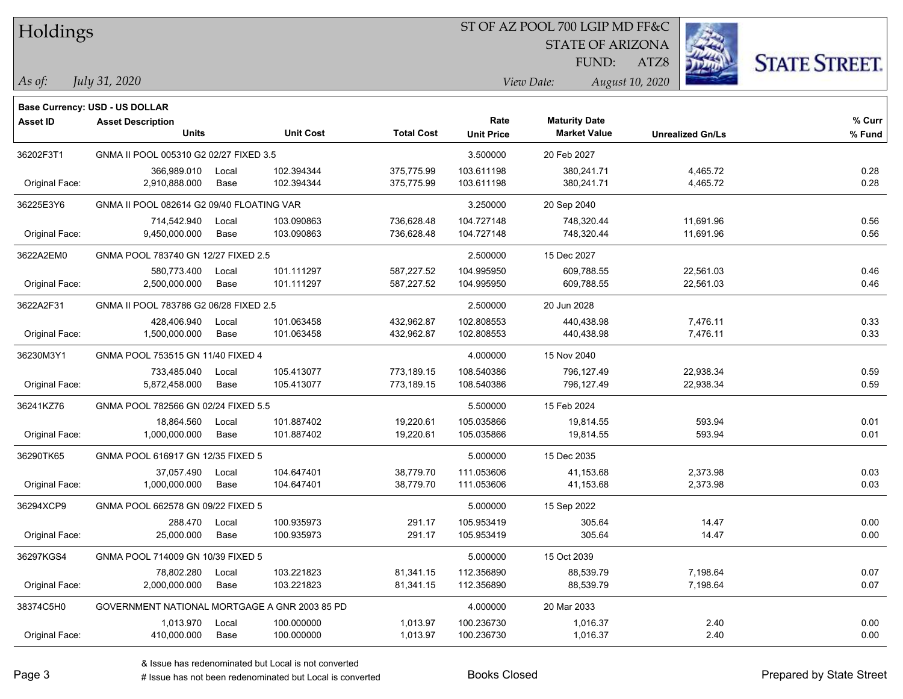### ST OF AZ POOL 700 LGIP MD FF&C

STATE OF ARIZONA

ATZ8



*As of: View Date: August 10, 2020*

FUND:

| As of: | July 31, 2020 |  |
|--------|---------------|--|
|        |               |  |

|                | <b>Base Currency: USD - US DOLLAR</b>         |       |                  |                   |                   |                      |                         |        |
|----------------|-----------------------------------------------|-------|------------------|-------------------|-------------------|----------------------|-------------------------|--------|
| Asset ID       | <b>Asset Description</b>                      |       |                  |                   | Rate              | <b>Maturity Date</b> |                         | % Curr |
|                | <b>Units</b>                                  |       | <b>Unit Cost</b> | <b>Total Cost</b> | <b>Unit Price</b> | <b>Market Value</b>  | <b>Unrealized Gn/Ls</b> | % Fund |
| 36202F3T1      | GNMA II POOL 005310 G2 02/27 FIXED 3.5        |       |                  | 3.500000          | 20 Feb 2027       |                      |                         |        |
|                | 366,989.010                                   | Local | 102.394344       | 375,775.99        | 103.611198        | 380,241.71           | 4,465.72                | 0.28   |
| Original Face: | 2,910,888.000                                 | Base  | 102.394344       | 375,775.99        | 103.611198        | 380,241.71           | 4,465.72                | 0.28   |
| 36225E3Y6      | GNMA II POOL 082614 G2 09/40 FLOATING VAR     |       |                  |                   | 3.250000          | 20 Sep 2040          |                         |        |
|                | 714,542.940                                   | Local | 103.090863       | 736,628.48        | 104.727148        | 748,320.44           | 11,691.96               | 0.56   |
| Original Face: | 9,450,000.000                                 | Base  | 103.090863       | 736,628.48        | 104.727148        | 748,320.44           | 11,691.96               | 0.56   |
| 3622A2EM0      | GNMA POOL 783740 GN 12/27 FIXED 2.5           |       |                  | 2.500000          | 15 Dec 2027       |                      |                         |        |
|                | 580,773.400                                   | Local | 101.111297       | 587,227.52        | 104.995950        | 609,788.55           | 22,561.03               | 0.46   |
| Original Face: | 2,500,000.000                                 | Base  | 101.111297       | 587,227.52        | 104.995950        | 609,788.55           | 22,561.03               | 0.46   |
| 3622A2F31      | GNMA II POOL 783786 G2 06/28 FIXED 2.5        |       |                  | 2.500000          | 20 Jun 2028       |                      |                         |        |
|                | 428,406.940                                   | Local | 101.063458       | 432,962.87        | 102.808553        | 440,438.98           | 7,476.11                | 0.33   |
| Original Face: | 1,500,000.000                                 | Base  | 101.063458       | 432,962.87        | 102.808553        | 440,438.98           | 7,476.11                | 0.33   |
| 36230M3Y1      | GNMA POOL 753515 GN 11/40 FIXED 4             |       |                  | 4.000000          | 15 Nov 2040       |                      |                         |        |
|                | 733,485.040                                   | Local | 105.413077       | 773,189.15        | 108.540386        | 796,127.49           | 22,938.34               | 0.59   |
| Original Face: | 5,872,458.000                                 | Base  | 105.413077       | 773,189.15        | 108.540386        | 796,127.49           | 22,938.34               | 0.59   |
| 36241KZ76      | GNMA POOL 782566 GN 02/24 FIXED 5.5           |       |                  |                   | 5.500000          | 15 Feb 2024          |                         |        |
|                | 18,864.560                                    | Local | 101.887402       | 19,220.61         | 105.035866        | 19,814.55            | 593.94                  | 0.01   |
| Original Face: | 1,000,000.000                                 | Base  | 101.887402       | 19,220.61         | 105.035866        | 19,814.55            | 593.94                  | 0.01   |
| 36290TK65      | GNMA POOL 616917 GN 12/35 FIXED 5             |       |                  |                   | 5.000000          | 15 Dec 2035          |                         |        |
|                | 37,057.490                                    | Local | 104.647401       | 38,779.70         | 111.053606        | 41,153.68            | 2,373.98                | 0.03   |
| Original Face: | 1,000,000.000                                 | Base  | 104.647401       | 38,779.70         | 111.053606        | 41,153.68            | 2,373.98                | 0.03   |
| 36294XCP9      | GNMA POOL 662578 GN 09/22 FIXED 5             |       |                  |                   | 5.000000          | 15 Sep 2022          |                         |        |
|                | 288.470                                       | Local | 100.935973       | 291.17            | 105.953419        | 305.64               | 14.47                   | 0.00   |
| Original Face: | 25,000.000                                    | Base  | 100.935973       | 291.17            | 105.953419        | 305.64               | 14.47                   | 0.00   |
| 36297KGS4      | GNMA POOL 714009 GN 10/39 FIXED 5             |       |                  |                   | 5.000000          | 15 Oct 2039          |                         |        |
|                | 78,802.280                                    | Local | 103.221823       | 81,341.15         | 112.356890        | 88,539.79            | 7,198.64                | 0.07   |
| Original Face: | 2,000,000.000                                 | Base  | 103.221823       | 81,341.15         | 112.356890        | 88,539.79            | 7,198.64                | 0.07   |
| 38374C5H0      | GOVERNMENT NATIONAL MORTGAGE A GNR 2003 85 PD |       |                  |                   | 4.000000          | 20 Mar 2033          |                         |        |
|                | 1,013.970                                     | Local | 100.000000       | 1,013.97          | 100.236730        | 1,016.37             | 2.40                    | 0.00   |
| Original Face: | 410,000.000                                   | Base  | 100.000000       | 1,013.97          | 100.236730        | 1,016.37             | 2.40                    | 0.00   |
|                |                                               |       |                  |                   |                   |                      |                         |        |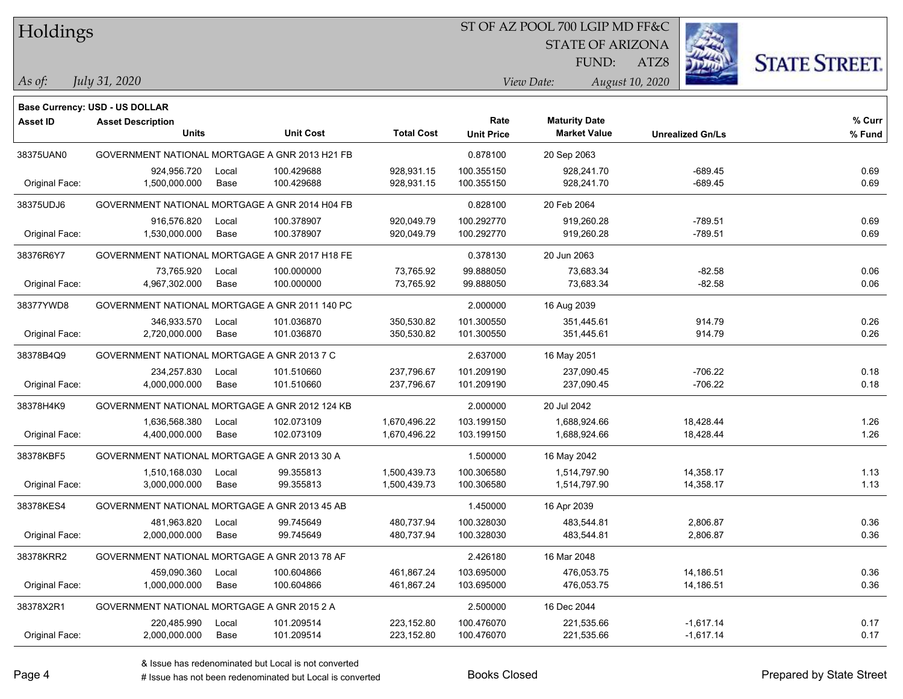### ST OF AZ POOL 700 LGIP MD FF&C

STATE OF ARIZONA

ATZ8



*As of: View Date: August 10, 2020*

FUND:

| As of: | July 31, 2020 |  |
|--------|---------------|--|
|        |               |  |

|                 | <b>Base Currency: USD - US DOLLAR</b>          |       |                  |                   |                   |                      |                         |        |
|-----------------|------------------------------------------------|-------|------------------|-------------------|-------------------|----------------------|-------------------------|--------|
| <b>Asset ID</b> | <b>Asset Description</b>                       |       |                  |                   | Rate              | <b>Maturity Date</b> |                         | % Curr |
|                 | <b>Units</b>                                   |       | <b>Unit Cost</b> | <b>Total Cost</b> | <b>Unit Price</b> | <b>Market Value</b>  | <b>Unrealized Gn/Ls</b> | % Fund |
| 38375UAN0       | GOVERNMENT NATIONAL MORTGAGE A GNR 2013 H21 FB |       |                  | 0.878100          | 20 Sep 2063       |                      |                         |        |
|                 | 924,956.720                                    | Local | 100.429688       | 928,931.15        | 100.355150        | 928,241.70           | $-689.45$               | 0.69   |
| Original Face:  | 1,500,000.000                                  | Base  | 100.429688       | 928,931.15        | 100.355150        | 928,241.70           | $-689.45$               | 0.69   |
| 38375UDJ6       | GOVERNMENT NATIONAL MORTGAGE A GNR 2014 H04 FB |       |                  | 0.828100          | 20 Feb 2064       |                      |                         |        |
|                 | 916,576.820                                    | Local | 100.378907       | 920,049.79        | 100.292770        | 919,260.28           | $-789.51$               | 0.69   |
| Original Face:  | 1,530,000.000                                  | Base  | 100.378907       | 920,049.79        | 100.292770        | 919,260.28           | $-789.51$               | 0.69   |
| 38376R6Y7       | GOVERNMENT NATIONAL MORTGAGE A GNR 2017 H18 FE |       |                  |                   | 0.378130          | 20 Jun 2063          |                         |        |
|                 | 73,765.920                                     | Local | 100.000000       | 73,765.92         | 99.888050         | 73,683.34            | $-82.58$                | 0.06   |
| Original Face:  | 4,967,302.000                                  | Base  | 100.000000       | 73,765.92         | 99.888050         | 73,683.34            | $-82.58$                | 0.06   |
| 38377YWD8       | GOVERNMENT NATIONAL MORTGAGE A GNR 2011 140 PC |       |                  |                   | 2.000000          | 16 Aug 2039          |                         |        |
|                 | 346,933.570                                    | Local | 101.036870       | 350,530.82        | 101.300550        | 351,445.61           | 914.79                  | 0.26   |
| Original Face:  | 2,720,000.000                                  | Base  | 101.036870       | 350,530.82        | 101.300550        | 351,445.61           | 914.79                  | 0.26   |
| 38378B4Q9       | GOVERNMENT NATIONAL MORTGAGE A GNR 2013 7 C    |       |                  | 2.637000          | 16 May 2051       |                      |                         |        |
|                 | 234,257.830                                    | Local | 101.510660       | 237,796.67        | 101.209190        | 237,090.45           | -706.22                 | 0.18   |
| Original Face:  | 4,000,000.000                                  | Base  | 101.510660       | 237,796.67        | 101.209190        | 237,090.45           | -706.22                 | 0.18   |
| 38378H4K9       | GOVERNMENT NATIONAL MORTGAGE A GNR 2012 124 KB |       |                  |                   | 2.000000          | 20 Jul 2042          |                         |        |
|                 | 1,636,568.380                                  | Local | 102.073109       | 1,670,496.22      | 103.199150        | 1,688,924.66         | 18,428.44               | 1.26   |
| Original Face:  | 4,400,000.000                                  | Base  | 102.073109       | 1,670,496.22      | 103.199150        | 1,688,924.66         | 18,428.44               | 1.26   |
| 38378KBF5       | GOVERNMENT NATIONAL MORTGAGE A GNR 2013 30 A   |       |                  |                   | 1.500000          | 16 May 2042          |                         |        |
|                 | 1,510,168.030                                  | Local | 99.355813        | 1,500,439.73      | 100.306580        | 1,514,797.90         | 14,358.17               | 1.13   |
| Original Face:  | 3,000,000.000                                  | Base  | 99.355813        | 1,500,439.73      | 100.306580        | 1,514,797.90         | 14,358.17               | 1.13   |
| 38378KES4       | GOVERNMENT NATIONAL MORTGAGE A GNR 2013 45 AB  |       |                  |                   | 1.450000          | 16 Apr 2039          |                         |        |
|                 | 481,963.820                                    | Local | 99.745649        | 480,737.94        | 100.328030        | 483,544.81           | 2,806.87                | 0.36   |
| Original Face:  | 2,000,000.000                                  | Base  | 99.745649        | 480,737.94        | 100.328030        | 483,544.81           | 2,806.87                | 0.36   |
| 38378KRR2       | GOVERNMENT NATIONAL MORTGAGE A GNR 2013 78 AF  |       |                  |                   | 2.426180          | 16 Mar 2048          |                         |        |
|                 | 459,090.360                                    | Local | 100.604866       | 461,867.24        | 103.695000        | 476.053.75           | 14,186.51               | 0.36   |
| Original Face:  | 1,000,000.000                                  | Base  | 100.604866       | 461,867.24        | 103.695000        | 476,053.75           | 14,186.51               | 0.36   |
| 38378X2R1       | GOVERNMENT NATIONAL MORTGAGE A GNR 2015 2 A    |       |                  |                   | 2.500000          | 16 Dec 2044          |                         |        |
|                 | 220,485.990                                    | Local | 101.209514       | 223,152.80        | 100.476070        | 221,535.66           | $-1,617.14$             | 0.17   |
| Original Face:  | 2,000,000.000                                  | Base  | 101.209514       | 223,152.80        | 100.476070        | 221,535.66           | $-1,617.14$             | 0.17   |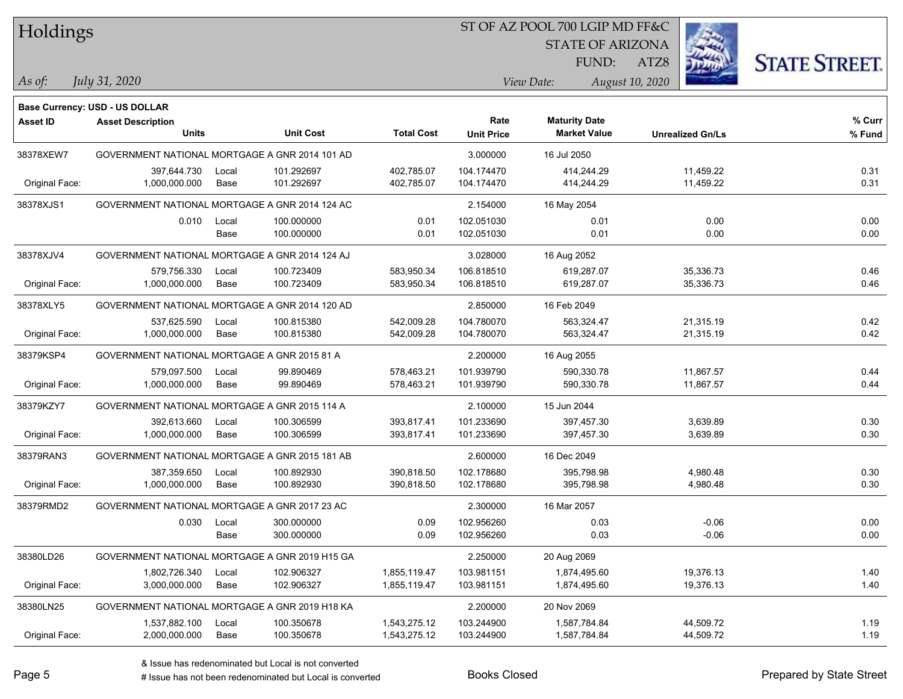### ST OF AZ POOL 700 LGIP MD FF&C

STATE OF ARIZONA

FUND:

ATZ8



*As of: View Date: August 10, 2020*

| As of: |  | July 31, 2020 |
|--------|--|---------------|
|        |  |               |

|                 | Base Currency: USD - US DOLLAR                 |               |                          |                              |                           |                                             |                         |                  |
|-----------------|------------------------------------------------|---------------|--------------------------|------------------------------|---------------------------|---------------------------------------------|-------------------------|------------------|
| <b>Asset ID</b> | <b>Asset Description</b><br><b>Units</b>       |               | <b>Unit Cost</b>         | <b>Total Cost</b>            | Rate<br><b>Unit Price</b> | <b>Maturity Date</b><br><b>Market Value</b> | <b>Unrealized Gn/Ls</b> | % Curr<br>% Fund |
| 38378XEW7       | GOVERNMENT NATIONAL MORTGAGE A GNR 2014 101 AD |               |                          |                              | 3.000000                  | 16 Jul 2050                                 |                         |                  |
| Original Face:  | 397,644.730<br>1,000,000.000                   | Local<br>Base | 101.292697<br>101.292697 | 402,785.07<br>402,785.07     | 104.174470<br>104.174470  | 414,244.29<br>414,244.29                    | 11,459.22<br>11,459.22  | 0.31<br>0.31     |
| 38378XJS1       | GOVERNMENT NATIONAL MORTGAGE A GNR 2014 124 AC |               |                          |                              | 2.154000                  | 16 May 2054                                 |                         |                  |
|                 | 0.010                                          | Local<br>Base | 100.000000<br>100.000000 | 0.01<br>0.01                 | 102.051030<br>102.051030  | 0.01<br>0.01                                | 0.00<br>0.00            | 0.00<br>0.00     |
| 38378XJV4       | GOVERNMENT NATIONAL MORTGAGE A GNR 2014 124 AJ |               |                          |                              | 3.028000                  | 16 Aug 2052                                 |                         |                  |
| Original Face:  | 579,756.330<br>1,000,000.000                   | Local<br>Base | 100.723409<br>100.723409 | 583,950.34<br>583,950.34     | 106.818510<br>106.818510  | 619,287.07<br>619,287.07                    | 35,336.73<br>35,336.73  | 0.46<br>0.46     |
| 38378XLY5       | GOVERNMENT NATIONAL MORTGAGE A GNR 2014 120 AD |               |                          |                              | 2.850000                  | 16 Feb 2049                                 |                         |                  |
| Original Face:  | 537,625.590<br>1,000,000.000                   | Local<br>Base | 100.815380<br>100.815380 | 542,009.28<br>542,009.28     | 104.780070<br>104.780070  | 563,324.47<br>563,324.47                    | 21,315.19<br>21,315.19  | 0.42<br>0.42     |
| 38379KSP4       | GOVERNMENT NATIONAL MORTGAGE A GNR 2015 81 A   |               |                          |                              | 2.200000                  | 16 Aug 2055                                 |                         |                  |
| Original Face:  | 579,097.500<br>1,000,000.000                   | Local<br>Base | 99.890469<br>99.890469   | 578,463.21<br>578,463.21     | 101.939790<br>101.939790  | 590,330.78<br>590,330.78                    | 11,867.57<br>11,867.57  | 0.44<br>0.44     |
| 38379KZY7       | GOVERNMENT NATIONAL MORTGAGE A GNR 2015 114 A  |               |                          |                              | 2.100000                  | 15 Jun 2044                                 |                         |                  |
| Original Face:  | 392,613.660<br>1,000,000.000                   | Local<br>Base | 100.306599<br>100.306599 | 393,817.41<br>393,817.41     | 101.233690<br>101.233690  | 397,457.30<br>397,457.30                    | 3,639.89<br>3,639.89    | 0.30<br>0.30     |
| 38379RAN3       | GOVERNMENT NATIONAL MORTGAGE A GNR 2015 181 AB |               |                          |                              | 2.600000                  | 16 Dec 2049                                 |                         |                  |
| Original Face:  | 387,359.650<br>1,000,000.000                   | Local<br>Base | 100.892930<br>100.892930 | 390,818.50<br>390,818.50     | 102.178680<br>102.178680  | 395,798.98<br>395,798.98                    | 4,980.48<br>4,980.48    | 0.30<br>0.30     |
| 38379RMD2       | GOVERNMENT NATIONAL MORTGAGE A GNR 2017 23 AC  |               |                          |                              | 2.300000                  | 16 Mar 2057                                 |                         |                  |
|                 | 0.030                                          | Local<br>Base | 300.000000<br>300.000000 | 0.09<br>0.09                 | 102.956260<br>102.956260  | 0.03<br>0.03                                | $-0.06$<br>$-0.06$      | 0.00<br>0.00     |
| 38380LD26       | GOVERNMENT NATIONAL MORTGAGE A GNR 2019 H15 GA |               |                          |                              | 2.250000                  | 20 Aug 2069                                 |                         |                  |
| Original Face:  | 1,802,726.340<br>3,000,000.000                 | Local<br>Base | 102.906327<br>102.906327 | 1,855,119.47<br>1,855,119.47 | 103.981151<br>103.981151  | 1,874,495.60<br>1,874,495.60                | 19,376.13<br>19,376.13  | 1.40<br>1.40     |
| 38380LN25       | GOVERNMENT NATIONAL MORTGAGE A GNR 2019 H18 KA |               |                          |                              | 2.200000                  | 20 Nov 2069                                 |                         |                  |
| Original Face:  | 1,537,882.100<br>2,000,000.000                 | Local<br>Base | 100.350678<br>100.350678 | 1,543,275.12<br>1,543,275.12 | 103.244900<br>103.244900  | 1,587,784.84<br>1,587,784.84                | 44,509.72<br>44,509.72  | 1.19<br>1.19     |

# Issue has not been redenominated but Local is converted Books Closed Prepared by State Street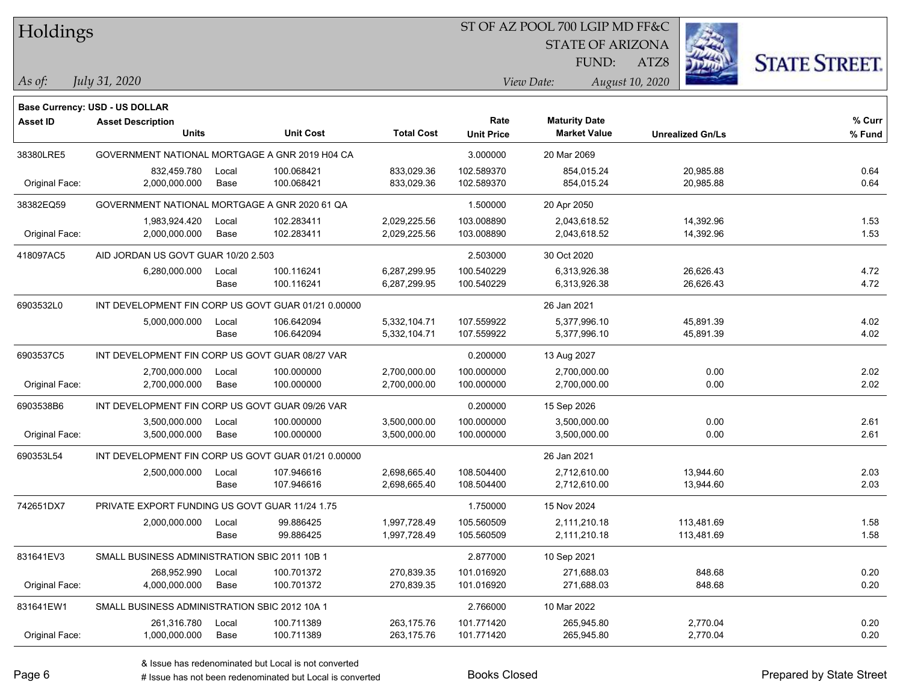### ST OF AZ POOL 700 LGIP MD FF&C

STATE OF ARIZONA

ATZ8



*As of: View Date: August 10, 2020*

FUND:

| As of: | July 31, 2020 |
|--------|---------------|
|        |               |

|                 | <b>Base Currency: USD - US DOLLAR</b>               |                                               |                  |                   |                   |                      |                         |        |
|-----------------|-----------------------------------------------------|-----------------------------------------------|------------------|-------------------|-------------------|----------------------|-------------------------|--------|
| <b>Asset ID</b> | <b>Asset Description</b>                            |                                               |                  |                   | Rate              | <b>Maturity Date</b> |                         | % Curr |
|                 | <b>Units</b>                                        |                                               | <b>Unit Cost</b> | <b>Total Cost</b> | <b>Unit Price</b> | <b>Market Value</b>  | <b>Unrealized Gn/Ls</b> | % Fund |
| 38380LRE5       | GOVERNMENT NATIONAL MORTGAGE A GNR 2019 H04 CA      |                                               |                  | 3.000000          | 20 Mar 2069       |                      |                         |        |
|                 | 832,459.780                                         | Local                                         | 100.068421       | 833,029.36        | 102.589370        | 854,015.24           | 20,985.88               | 0.64   |
| Original Face:  | 2,000,000.000                                       | Base                                          | 100.068421       | 833,029.36        | 102.589370        | 854,015.24           | 20,985.88               | 0.64   |
| 38382EQ59       |                                                     | GOVERNMENT NATIONAL MORTGAGE A GNR 2020 61 QA |                  |                   |                   | 20 Apr 2050          |                         |        |
|                 | 1,983,924.420                                       | Local                                         | 102.283411       | 2,029,225.56      | 103.008890        | 2,043,618.52         | 14,392.96               | 1.53   |
| Original Face:  | 2,000,000.000                                       | Base                                          | 102.283411       | 2,029,225.56      | 103.008890        | 2,043,618.52         | 14,392.96               | 1.53   |
| 418097AC5       | AID JORDAN US GOVT GUAR 10/20 2.503                 |                                               |                  | 2.503000          | 30 Oct 2020       |                      |                         |        |
|                 | 6,280,000.000                                       | Local                                         | 100.116241       | 6,287,299.95      | 100.540229        | 6,313,926.38         | 26,626.43               | 4.72   |
|                 |                                                     | Base                                          | 100.116241       | 6,287,299.95      | 100.540229        | 6,313,926.38         | 26,626.43               | 4.72   |
| 6903532L0       | INT DEVELOPMENT FIN CORP US GOVT GUAR 01/21 0.00000 |                                               |                  |                   |                   | 26 Jan 2021          |                         |        |
|                 | 5,000,000.000                                       | Local                                         | 106.642094       | 5,332,104.71      | 107.559922        | 5,377,996.10         | 45,891.39               | 4.02   |
|                 |                                                     | Base                                          | 106.642094       | 5,332,104.71      | 107.559922        | 5,377,996.10         | 45,891.39               | 4.02   |
| 6903537C5       | INT DEVELOPMENT FIN CORP US GOVT GUAR 08/27 VAR     |                                               |                  |                   | 0.200000          | 13 Aug 2027          |                         |        |
|                 | 2,700,000.000                                       | Local                                         | 100.000000       | 2,700,000.00      | 100.000000        | 2,700,000.00         | 0.00                    | 2.02   |
| Original Face:  | 2,700,000.000                                       | Base                                          | 100.000000       | 2,700,000.00      | 100.000000        | 2,700,000.00         | 0.00                    | 2.02   |
| 6903538B6       | INT DEVELOPMENT FIN CORP US GOVT GUAR 09/26 VAR     |                                               |                  |                   | 0.200000          | 15 Sep 2026          |                         |        |
|                 | 3,500,000.000                                       | Local                                         | 100.000000       | 3,500,000.00      | 100.000000        | 3,500,000.00         | 0.00                    | 2.61   |
| Original Face:  | 3,500,000.000                                       | Base                                          | 100.000000       | 3,500,000.00      | 100.000000        | 3,500,000.00         | 0.00                    | 2.61   |
| 690353L54       | INT DEVELOPMENT FIN CORP US GOVT GUAR 01/21 0.00000 |                                               |                  |                   |                   | 26 Jan 2021          |                         |        |
|                 | 2,500,000.000                                       | Local                                         | 107.946616       | 2,698,665.40      | 108.504400        | 2,712,610.00         | 13,944.60               | 2.03   |
|                 |                                                     | Base                                          | 107.946616       | 2,698,665.40      | 108.504400        | 2,712,610.00         | 13,944.60               | 2.03   |
| 742651DX7       | PRIVATE EXPORT FUNDING US GOVT GUAR 11/24 1.75      |                                               |                  |                   | 1.750000          | 15 Nov 2024          |                         |        |
|                 | 2,000,000.000                                       | Local                                         | 99.886425        | 1,997,728.49      | 105.560509        | 2,111,210.18         | 113,481.69              | 1.58   |
|                 |                                                     | Base                                          | 99.886425        | 1,997,728.49      | 105.560509        | 2,111,210.18         | 113,481.69              | 1.58   |
| 831641EV3       | SMALL BUSINESS ADMINISTRATION SBIC 2011 10B 1       |                                               |                  |                   | 2.877000          | 10 Sep 2021          |                         |        |
|                 | 268,952.990                                         | Local                                         | 100.701372       | 270,839.35        | 101.016920        | 271,688.03           | 848.68                  | 0.20   |
| Original Face:  | 4,000,000.000                                       | Base                                          | 100.701372       | 270,839.35        | 101.016920        | 271,688.03           | 848.68                  | 0.20   |
| 831641EW1       | SMALL BUSINESS ADMINISTRATION SBIC 2012 10A 1       |                                               |                  |                   | 2.766000          | 10 Mar 2022          |                         |        |
|                 | 261,316.780                                         | Local                                         | 100.711389       | 263,175.76        | 101.771420        | 265,945.80           | 2,770.04                | 0.20   |
| Original Face:  | 1,000,000.000                                       | Base                                          | 100.711389       | 263,175.76        | 101.771420        | 265,945.80           | 2,770.04                | 0.20   |

A ISSUE ISSUE ISSUE ISSUE ISSUE ISSUE ISSUE ISSUE ISSUE ISSUE ISSUE ISSUE ISSUE ISSUE ISSUE ISSUE ISSUE ISSUE I<br>
# Issue has not been redenominated but Local is converted **BOOKS** Closed **Prepared by State Street**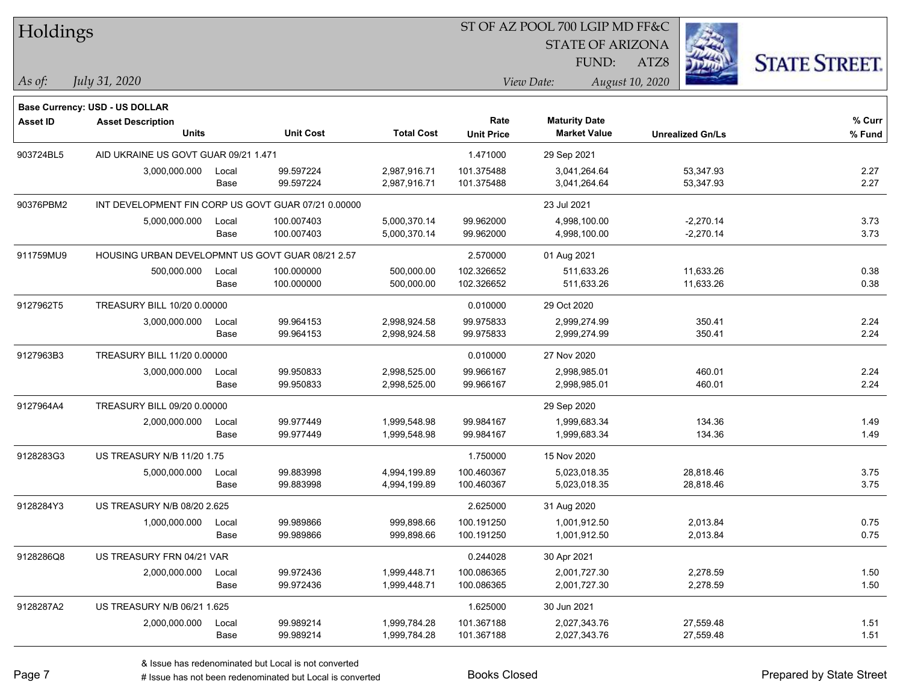| Holdings  |                                                                   |       |                  |                   | ST OF AZ POOL 700 LGIP MD FF&C |                         |                         |                      |  |  |
|-----------|-------------------------------------------------------------------|-------|------------------|-------------------|--------------------------------|-------------------------|-------------------------|----------------------|--|--|
|           |                                                                   |       |                  |                   |                                | <b>STATE OF ARIZONA</b> |                         |                      |  |  |
|           |                                                                   |       |                  |                   |                                | FUND:                   | ATZ8                    | <b>STATE STREET.</b> |  |  |
| As of:    | July 31, 2020                                                     |       |                  |                   |                                | View Date:              | August 10, 2020         |                      |  |  |
|           |                                                                   |       |                  |                   |                                |                         |                         |                      |  |  |
| Asset ID  | <b>Base Currency: USD - US DOLLAR</b><br><b>Asset Description</b> |       |                  |                   | Rate                           | <b>Maturity Date</b>    |                         | $%$ Curr             |  |  |
|           | <b>Units</b>                                                      |       | <b>Unit Cost</b> | <b>Total Cost</b> | <b>Unit Price</b>              | <b>Market Value</b>     | <b>Unrealized Gn/Ls</b> | % Fund               |  |  |
| 903724BL5 | AID UKRAINE US GOVT GUAR 09/21 1.471                              |       |                  |                   | 1.471000                       | 29 Sep 2021             |                         |                      |  |  |
|           | 3,000,000.000                                                     | Local | 99.597224        | 2,987,916.71      | 101.375488                     | 3,041,264.64            | 53,347.93               | 2.27                 |  |  |
|           |                                                                   | Base  | 99.597224        | 2,987,916.71      | 101.375488                     | 3,041,264.64            | 53,347.93               | 2.27                 |  |  |
| 90376PBM2 | INT DEVELOPMENT FIN CORP US GOVT GUAR 07/21 0.00000               |       |                  |                   |                                | 23 Jul 2021             |                         |                      |  |  |
|           | 5,000,000.000                                                     | Local | 100.007403       | 5,000,370.14      | 99.962000                      | 4,998,100.00            | $-2,270.14$             | 3.73                 |  |  |
|           |                                                                   | Base  | 100.007403       | 5,000,370.14      | 99.962000                      | 4,998,100.00            | $-2,270.14$             | 3.73                 |  |  |
| 911759MU9 | HOUSING URBAN DEVELOPMNT US GOVT GUAR 08/21 2.57                  |       |                  |                   | 2.570000                       | 01 Aug 2021             |                         |                      |  |  |
|           | 500,000.000                                                       | Local | 100.000000       | 500,000.00        | 102.326652                     | 511,633.26              | 11,633.26               | 0.38                 |  |  |
|           |                                                                   | Base  | 100.000000       | 500,000.00        | 102.326652                     | 511,633.26              | 11,633.26               | 0.38                 |  |  |
| 9127962T5 | TREASURY BILL 10/20 0.00000                                       |       |                  |                   | 0.010000                       | 29 Oct 2020             |                         |                      |  |  |
|           | 3,000,000.000                                                     | Local | 99.964153        | 2,998,924.58      | 99.975833                      | 2,999,274.99            | 350.41                  | 2.24                 |  |  |
|           |                                                                   | Base  | 99.964153        | 2,998,924.58      | 99.975833                      | 2,999,274.99            | 350.41                  | 2.24                 |  |  |
| 9127963B3 | TREASURY BILL 11/20 0.00000                                       |       |                  | 0.010000          | 27 Nov 2020                    |                         |                         |                      |  |  |
|           | 3,000,000.000                                                     | Local | 99.950833        | 2,998,525.00      | 99.966167                      | 2,998,985.01            | 460.01                  | 2.24                 |  |  |
|           |                                                                   | Base  | 99.950833        | 2,998,525.00      | 99.966167                      | 2,998,985.01            | 460.01                  | 2.24                 |  |  |
| 9127964A4 | TREASURY BILL 09/20 0.00000                                       |       |                  |                   |                                | 29 Sep 2020             |                         |                      |  |  |
|           | 2,000,000.000                                                     | Local | 99.977449        | 1,999,548.98      | 99.984167                      | 1,999,683.34            | 134.36                  | 1.49                 |  |  |
|           |                                                                   | Base  | 99.977449        | 1,999,548.98      | 99.984167                      | 1,999,683.34            | 134.36                  | 1.49                 |  |  |
| 9128283G3 | US TREASURY N/B 11/20 1.75                                        |       |                  |                   | 1.750000                       | 15 Nov 2020             |                         |                      |  |  |
|           | 5,000,000.000                                                     | Local | 99.883998        | 4,994,199.89      | 100.460367                     | 5,023,018.35            | 28,818.46               | 3.75                 |  |  |
|           |                                                                   | Base  | 99.883998        | 4,994,199.89      | 100.460367                     | 5,023,018.35            | 28,818.46               | 3.75                 |  |  |
| 9128284Y3 | US TREASURY N/B 08/20 2.625                                       |       |                  |                   | 2.625000                       | 31 Aug 2020             |                         |                      |  |  |
|           | 1,000,000.000                                                     | Local | 99.989866        | 999,898.66        | 100.191250                     | 1,001,912.50            | 2,013.84                | 0.75                 |  |  |
|           |                                                                   | Base  | 99.989866        | 999,898.66        | 100.191250                     | 1,001,912.50            | 2,013.84                | 0.75                 |  |  |
| 9128286Q8 | US TREASURY FRN 04/21 VAR                                         |       |                  |                   | 0.244028                       | 30 Apr 2021             |                         |                      |  |  |
|           | 2,000,000.000                                                     | Local | 99.972436        | 1,999,448.71      | 100.086365                     | 2,001,727.30            | 2,278.59                | 1.50                 |  |  |
|           |                                                                   | Base  | 99.972436        | 1,999,448.71      | 100.086365                     | 2,001,727.30            | 2,278.59                | 1.50                 |  |  |
| 9128287A2 | US TREASURY N/B 06/21 1.625                                       |       |                  |                   | 1.625000                       | 30 Jun 2021             |                         |                      |  |  |
|           | 2,000,000.000                                                     | Local | 99.989214        | 1,999,784.28      | 101.367188                     | 2,027,343.76            | 27,559.48               | 1.51                 |  |  |
|           |                                                                   | Base  | 99.989214        | 1,999,784.28      | 101.367188                     | 2,027,343.76            | 27,559.48               | 1.51                 |  |  |
|           |                                                                   |       |                  |                   |                                |                         |                         |                      |  |  |

٦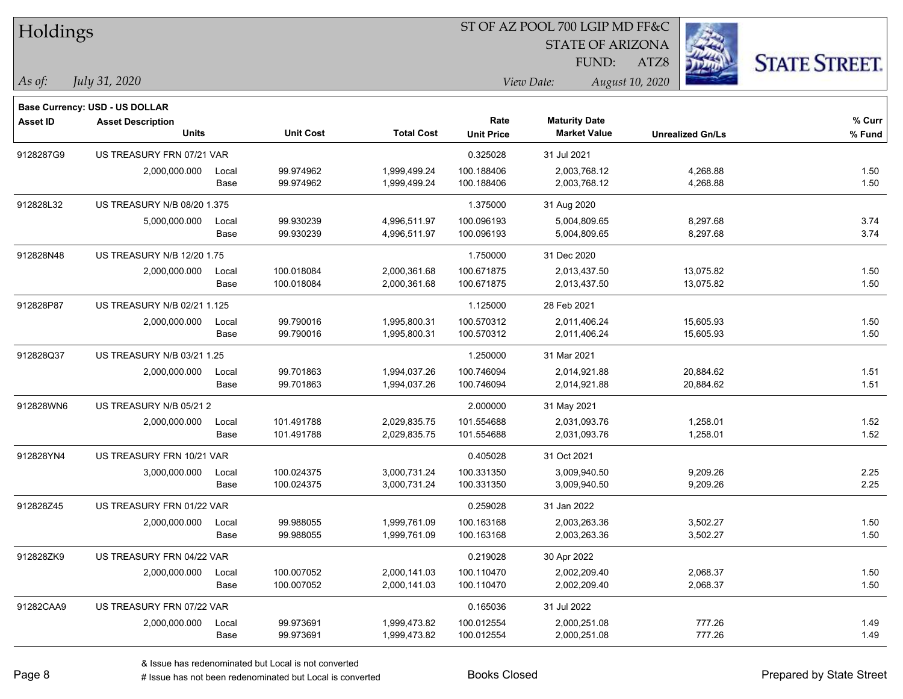| Holdings        |                                       |       |                  |                   | ST OF AZ POOL 700 LGIP MD FF&C |                         |                         |                      |  |
|-----------------|---------------------------------------|-------|------------------|-------------------|--------------------------------|-------------------------|-------------------------|----------------------|--|
|                 |                                       |       |                  |                   |                                | <b>STATE OF ARIZONA</b> |                         |                      |  |
|                 |                                       |       |                  |                   |                                | FUND:                   | ATZ8                    | <b>STATE STREET.</b> |  |
| As of:          | July 31, 2020                         |       |                  |                   |                                | View Date:              | August 10, 2020         |                      |  |
|                 | <b>Base Currency: USD - US DOLLAR</b> |       |                  |                   |                                |                         |                         |                      |  |
| <b>Asset ID</b> | <b>Asset Description</b>              |       |                  |                   | Rate                           | <b>Maturity Date</b>    |                         | $%$ Curr             |  |
|                 | <b>Units</b>                          |       | <b>Unit Cost</b> | <b>Total Cost</b> | <b>Unit Price</b>              | <b>Market Value</b>     | <b>Unrealized Gn/Ls</b> | % Fund               |  |
| 9128287G9       | US TREASURY FRN 07/21 VAR             |       |                  |                   | 0.325028                       | 31 Jul 2021             |                         |                      |  |
|                 | 2,000,000.000                         | Local | 99.974962        | 1,999,499.24      | 100.188406                     | 2,003,768.12            | 4,268.88                | 1.50                 |  |
|                 |                                       | Base  | 99.974962        | 1,999,499.24      | 100.188406                     | 2,003,768.12            | 4,268.88                | 1.50                 |  |
| 912828L32       | US TREASURY N/B 08/20 1.375           |       |                  |                   | 1.375000                       | 31 Aug 2020             |                         |                      |  |
|                 | 5,000,000.000                         | Local | 99.930239        | 4,996,511.97      | 100.096193                     | 5,004,809.65            | 8,297.68                | 3.74                 |  |
|                 |                                       | Base  | 99.930239        | 4,996,511.97      | 100.096193                     | 5,004,809.65            | 8,297.68                | 3.74                 |  |
| 912828N48       | US TREASURY N/B 12/20 1.75            |       |                  |                   | 1.750000                       | 31 Dec 2020             |                         |                      |  |
|                 | 2,000,000.000                         | Local | 100.018084       | 2,000,361.68      | 100.671875                     | 2,013,437.50            | 13,075.82               | 1.50                 |  |
|                 |                                       | Base  | 100.018084       | 2,000,361.68      | 100.671875                     | 2,013,437.50            | 13,075.82               | 1.50                 |  |
| 912828P87       | US TREASURY N/B 02/21 1.125           |       |                  |                   | 1.125000                       | 28 Feb 2021             |                         |                      |  |
|                 | 2,000,000.000                         | Local | 99.790016        | 1,995,800.31      | 100.570312                     | 2,011,406.24            | 15,605.93               | 1.50                 |  |
|                 |                                       | Base  | 99.790016        | 1,995,800.31      | 100.570312                     | 2,011,406.24            | 15,605.93               | 1.50                 |  |
| 912828Q37       | US TREASURY N/B 03/21 1.25            |       |                  |                   | 1.250000                       | 31 Mar 2021             |                         |                      |  |
|                 | 2,000,000.000                         | Local | 99.701863        | 1,994,037.26      | 100.746094                     | 2,014,921.88            | 20,884.62               | 1.51                 |  |
|                 |                                       | Base  | 99.701863        | 1,994,037.26      | 100.746094                     | 2,014,921.88            | 20,884.62               | 1.51                 |  |
| 912828WN6       | US TREASURY N/B 05/21 2               |       |                  |                   | 2.000000                       | 31 May 2021             |                         |                      |  |
|                 | 2,000,000.000                         | Local | 101.491788       | 2,029,835.75      | 101.554688                     | 2,031,093.76            | 1,258.01                | 1.52                 |  |
|                 |                                       | Base  | 101.491788       | 2,029,835.75      | 101.554688                     | 2,031,093.76            | 1,258.01                | 1.52                 |  |
| 912828YN4       | US TREASURY FRN 10/21 VAR             |       |                  |                   | 0.405028                       | 31 Oct 2021             |                         |                      |  |
|                 | 3,000,000.000                         | Local | 100.024375       | 3,000,731.24      | 100.331350                     | 3,009,940.50            | 9,209.26                | 2.25                 |  |
|                 |                                       | Base  | 100.024375       | 3,000,731.24      | 100.331350                     | 3,009,940.50            | 9,209.26                | 2.25                 |  |
| 912828Z45       | US TREASURY FRN 01/22 VAR             |       |                  |                   | 0.259028                       | 31 Jan 2022             |                         |                      |  |
|                 | 2,000,000.000 Local                   |       | 99.988055        | 1,999,761.09      | 100.163168                     | 2,003,263.36            | 3,502.27                | 1.50                 |  |
|                 |                                       | Base  | 99.988055        | 1,999,761.09      | 100.163168                     | 2,003,263.36            | 3,502.27                | 1.50                 |  |
| 912828ZK9       | US TREASURY FRN 04/22 VAR             |       |                  |                   | 0.219028                       | 30 Apr 2022             |                         |                      |  |
|                 | 2,000,000.000                         | Local | 100.007052       | 2,000,141.03      | 100.110470                     | 2,002,209.40            | 2,068.37                | 1.50                 |  |
|                 |                                       | Base  | 100.007052       | 2,000,141.03      | 100.110470                     | 2,002,209.40            | 2,068.37                | 1.50                 |  |
| 91282CAA9       | US TREASURY FRN 07/22 VAR             |       |                  |                   | 0.165036                       | 31 Jul 2022             |                         |                      |  |
|                 | 2,000,000.000                         | Local | 99.973691        | 1,999,473.82      | 100.012554                     | 2,000,251.08            | 777.26                  | 1.49                 |  |
|                 |                                       | Base  | 99.973691        | 1,999,473.82      | 100.012554                     | 2,000,251.08            | 777.26                  | 1.49                 |  |

ST OF AZ POOL 700 LGIP MD FF&C

÷.

e e

 $\overline{\phantom{0}}$ 

denote the redenominated but Local is converted Books Closed Prepared by State Street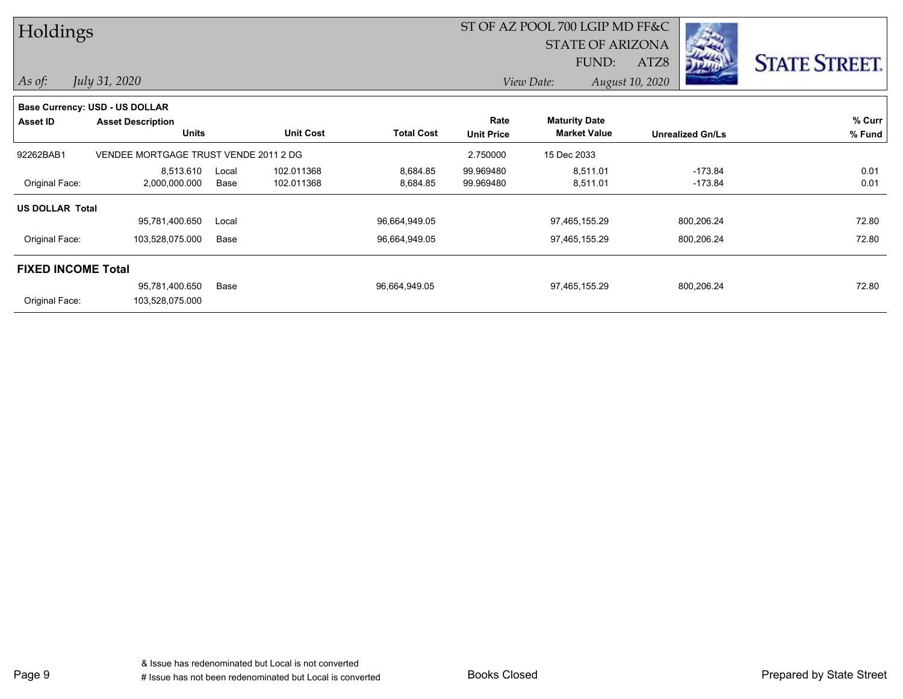| Holdings                  |                                       |       |                  |                   |                   | ST OF AZ POOL 700 LGIP MD FF&C |                                                                                                                                                                 |                      |  |
|---------------------------|---------------------------------------|-------|------------------|-------------------|-------------------|--------------------------------|-----------------------------------------------------------------------------------------------------------------------------------------------------------------|----------------------|--|
|                           |                                       |       |                  |                   |                   | <b>STATE OF ARIZONA</b>        | $\label{eq:2} \mathcal{O}_{\mathcal{D}}\left(\mathcal{F}_{\mathcal{A}}\right)=\mathcal{O}_{\mathcal{D}}\left(\mathcal{F}_{\mathcal{A}}\right)$<br>$\rightarrow$ |                      |  |
|                           |                                       |       |                  |                   |                   | FUND:                          | <b>Alderson</b><br>ATZ8<br><b>DEATH</b>                                                                                                                         | <b>STATE STREET.</b> |  |
| As of:                    | July 31, 2020                         |       |                  |                   |                   | View Date:                     | August 10, 2020                                                                                                                                                 |                      |  |
|                           | Base Currency: USD - US DOLLAR        |       |                  |                   |                   |                                |                                                                                                                                                                 |                      |  |
| Asset ID                  | <b>Asset Description</b>              |       |                  |                   | Rate              | <b>Maturity Date</b>           |                                                                                                                                                                 | % Curr               |  |
|                           | <b>Units</b>                          |       | <b>Unit Cost</b> | <b>Total Cost</b> | <b>Unit Price</b> | <b>Market Value</b>            | <b>Unrealized Gn/Ls</b>                                                                                                                                         | % Fund               |  |
| 92262BAB1                 | VENDEE MORTGAGE TRUST VENDE 2011 2 DG |       |                  |                   | 2.750000          | 15 Dec 2033                    |                                                                                                                                                                 |                      |  |
|                           | 8,513.610                             | Local | 102.011368       | 8,684.85          | 99.969480         | 8,511.01                       | $-173.84$                                                                                                                                                       | 0.01                 |  |
| Original Face:            | 2,000,000.000                         | Base  | 102.011368       | 8,684.85          | 99.969480         | 8,511.01                       | $-173.84$                                                                                                                                                       | 0.01                 |  |
| <b>US DOLLAR Total</b>    |                                       |       |                  |                   |                   |                                |                                                                                                                                                                 |                      |  |
|                           | 95,781,400.650                        | Local |                  | 96,664,949.05     |                   | 97,465,155.29                  | 800,206.24                                                                                                                                                      | 72.80                |  |
| Original Face:            | 103,528,075.000                       | Base  |                  | 96,664,949.05     |                   | 97,465,155.29                  | 800,206.24                                                                                                                                                      | 72.80                |  |
| <b>FIXED INCOME Total</b> |                                       |       |                  |                   |                   |                                |                                                                                                                                                                 |                      |  |
|                           | 95,781,400.650                        | Base  |                  | 96,664,949.05     |                   | 97,465,155.29                  | 800,206.24                                                                                                                                                      | 72.80                |  |
| Original Face:            | 103,528,075.000                       |       |                  |                   |                   |                                |                                                                                                                                                                 |                      |  |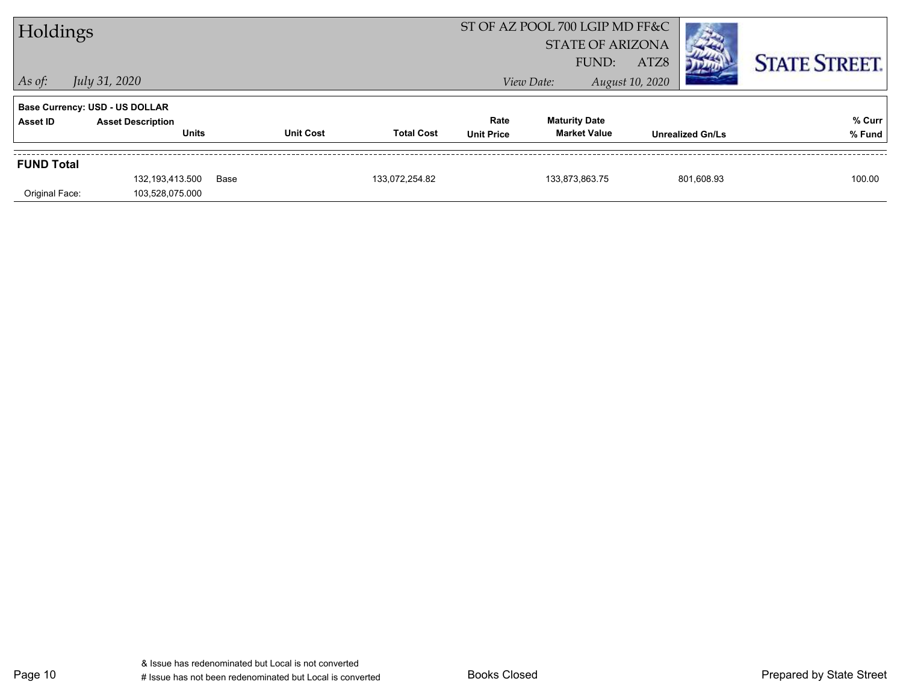| Holdings          |                                       |      |                  |                   |                   | ST OF AZ POOL 700 LGIP MD FF&C |                         |                         |                      |
|-------------------|---------------------------------------|------|------------------|-------------------|-------------------|--------------------------------|-------------------------|-------------------------|----------------------|
|                   |                                       |      |                  |                   |                   |                                | <b>STATE OF ARIZONA</b> |                         |                      |
|                   |                                       |      |                  |                   |                   | FUND:                          | ATZ8                    |                         | <b>STATE STREET.</b> |
| $ $ As of:        | July 31, 2020                         |      |                  |                   |                   | View Date:                     | August 10, 2020         |                         |                      |
|                   | <b>Base Currency: USD - US DOLLAR</b> |      |                  |                   |                   |                                |                         |                         |                      |
| <b>Asset ID</b>   | <b>Asset Description</b>              |      |                  |                   | Rate              | <b>Maturity Date</b>           |                         |                         | % Curr               |
|                   | <b>Units</b>                          |      | <b>Unit Cost</b> | <b>Total Cost</b> | <b>Unit Price</b> | <b>Market Value</b>            |                         | <b>Unrealized Gn/Ls</b> | % Fund               |
| <b>FUND Total</b> |                                       |      |                  |                   |                   |                                |                         |                         |                      |
|                   | 132,193,413.500                       | Base |                  | 133,072,254.82    |                   | 133,873,863.75                 |                         | 801,608.93              | 100.00               |
|                   |                                       |      |                  |                   |                   |                                |                         |                         |                      |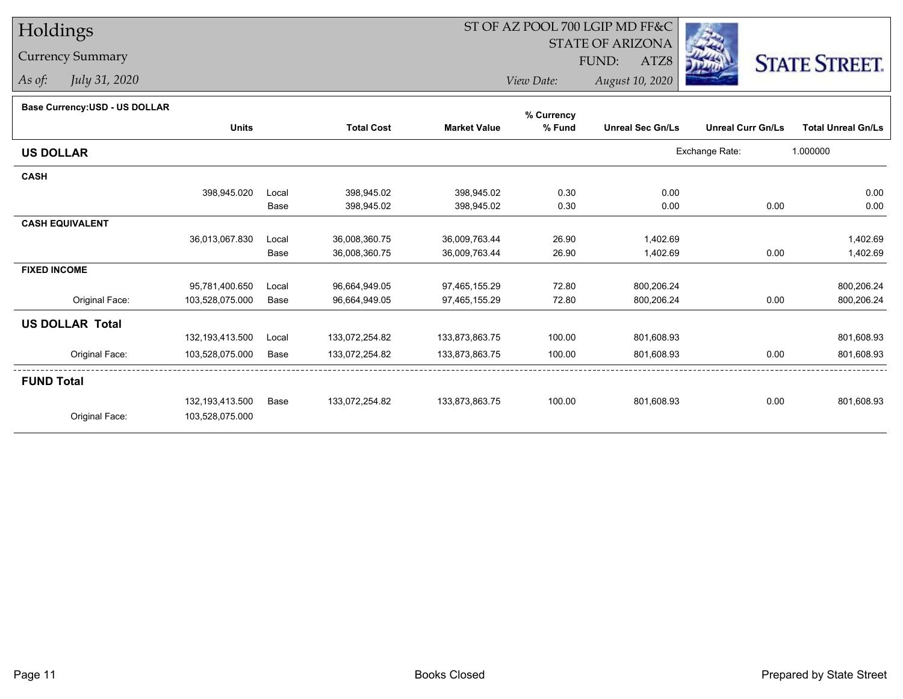## Currency Summary

*As of: July 31, 2020*

## ST OF AZ POOL 700 LGIP MD FF&C

STATE OF ARIZONA

ATZ8



*View Date: August 10, 2020*FUND:

#### **Base Currency:USD - US DOLLAR**

|                        |                   |       |                   |                     | % Currency |                         |                          |                           |
|------------------------|-------------------|-------|-------------------|---------------------|------------|-------------------------|--------------------------|---------------------------|
|                        | <b>Units</b>      |       | <b>Total Cost</b> | <b>Market Value</b> | % Fund     | <b>Unreal Sec Gn/Ls</b> | <b>Unreal Curr Gn/Ls</b> | <b>Total Unreal Gn/Ls</b> |
| <b>US DOLLAR</b>       |                   |       |                   |                     |            |                         | Exchange Rate:           | 1.000000                  |
| <b>CASH</b>            |                   |       |                   |                     |            |                         |                          |                           |
|                        | 398,945.020       | Local | 398,945.02        | 398,945.02          | 0.30       | 0.00                    |                          | 0.00                      |
|                        |                   | Base  | 398,945.02        | 398,945.02          | 0.30       | 0.00                    | 0.00                     | 0.00                      |
| <b>CASH EQUIVALENT</b> |                   |       |                   |                     |            |                         |                          |                           |
|                        | 36,013,067.830    | Local | 36,008,360.75     | 36,009,763.44       | 26.90      | 1,402.69                |                          | 1,402.69                  |
|                        |                   | Base  | 36,008,360.75     | 36,009,763.44       | 26.90      | 1,402.69                | 0.00                     | 1,402.69                  |
| <b>FIXED INCOME</b>    |                   |       |                   |                     |            |                         |                          |                           |
|                        | 95,781,400.650    | Local | 96,664,949.05     | 97,465,155.29       | 72.80      | 800,206.24              |                          | 800,206.24                |
| Original Face:         | 103,528,075.000   | Base  | 96,664,949.05     | 97,465,155.29       | 72.80      | 800,206.24              | 0.00                     | 800,206.24                |
| <b>US DOLLAR Total</b> |                   |       |                   |                     |            |                         |                          |                           |
|                        | 132, 193, 413.500 | Local | 133,072,254.82    | 133,873,863.75      | 100.00     | 801,608.93              |                          | 801,608.93                |
| Original Face:         | 103,528,075.000   | Base  | 133,072,254.82    | 133,873,863.75      | 100.00     | 801,608.93              | 0.00                     | 801,608.93                |
| <b>FUND Total</b>      |                   |       |                   |                     |            |                         |                          |                           |
|                        | 132,193,413.500   | Base  | 133,072,254.82    | 133,873,863.75      | 100.00     | 801,608.93              | 0.00                     | 801,608.93                |
| Original Face:         | 103,528,075.000   |       |                   |                     |            |                         |                          |                           |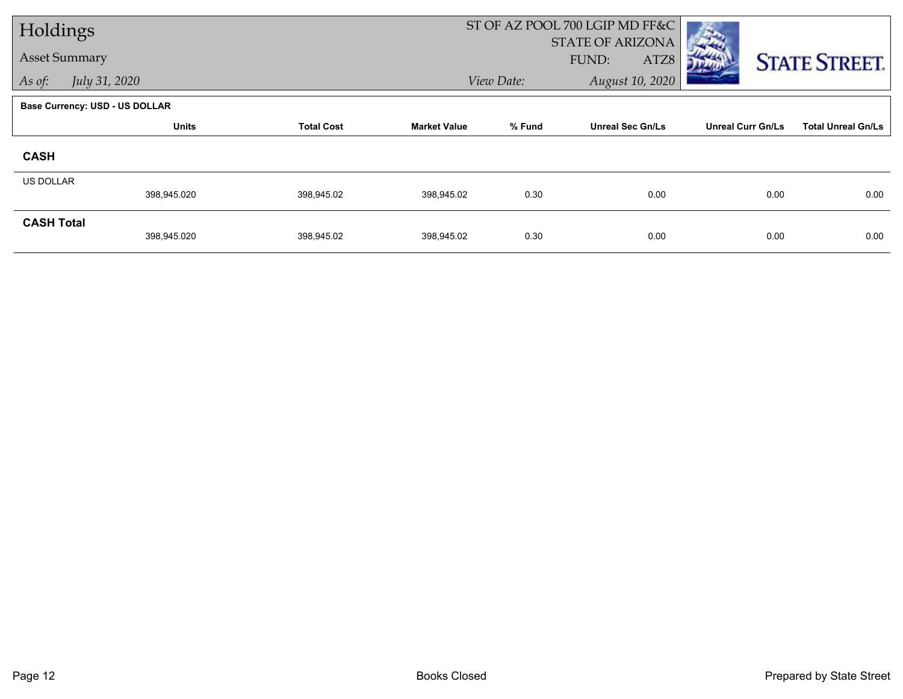| Holdings             |                                       |                   |                     | ST OF AZ POOL 700 LGIP MD FF&C |                                          |                          |                           |  |
|----------------------|---------------------------------------|-------------------|---------------------|--------------------------------|------------------------------------------|--------------------------|---------------------------|--|
| <b>Asset Summary</b> |                                       |                   |                     |                                | <b>STATE OF ARIZONA</b><br>FUND:<br>ATZ8 |                          |                           |  |
| As of:               | July 31, 2020                         |                   |                     | View Date:                     | August 10, 2020                          |                          | <b>STATE STREET.</b>      |  |
|                      |                                       |                   |                     |                                |                                          |                          |                           |  |
|                      | <b>Base Currency: USD - US DOLLAR</b> |                   |                     |                                |                                          |                          |                           |  |
|                      | <b>Units</b>                          | <b>Total Cost</b> | <b>Market Value</b> | % Fund                         | <b>Unreal Sec Gn/Ls</b>                  | <b>Unreal Curr Gn/Ls</b> | <b>Total Unreal Gn/Ls</b> |  |
| <b>CASH</b>          |                                       |                   |                     |                                |                                          |                          |                           |  |
| <b>US DOLLAR</b>     |                                       |                   |                     |                                |                                          |                          |                           |  |
|                      | 398,945.020                           | 398,945.02        | 398,945.02          | 0.30                           | 0.00                                     | 0.00                     | 0.00                      |  |
| <b>CASH Total</b>    |                                       |                   |                     |                                |                                          |                          |                           |  |
|                      | 398,945.020                           | 398,945.02        | 398,945.02          | 0.30                           | 0.00                                     | 0.00                     | 0.00                      |  |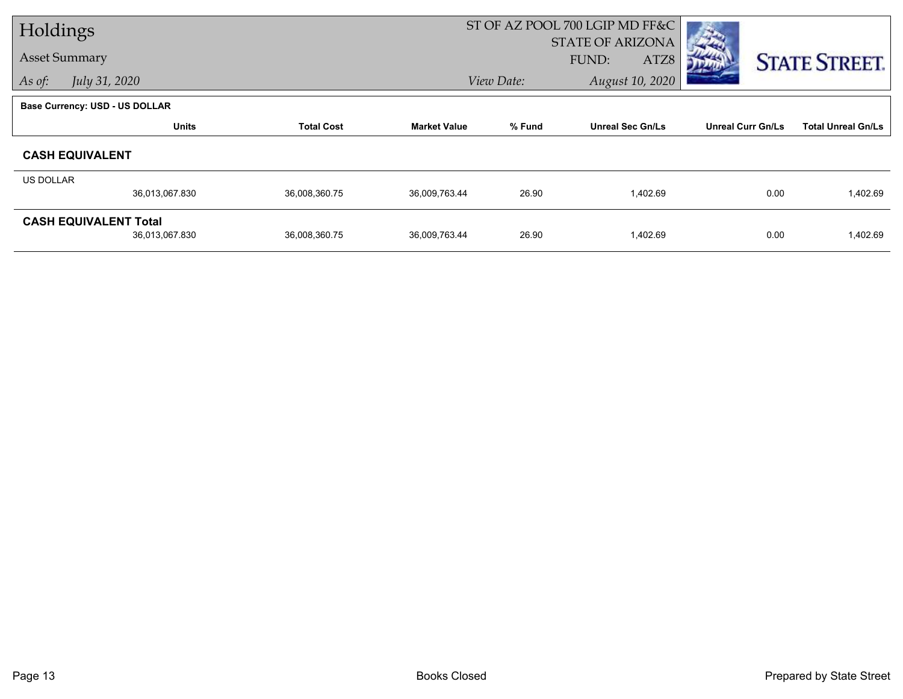| Holdings  |                                |                   |                     |            | ST OF AZ POOL 700 LGIP MD FF&C |                          |                           |
|-----------|--------------------------------|-------------------|---------------------|------------|--------------------------------|--------------------------|---------------------------|
|           |                                |                   |                     |            | <b>STATE OF ARIZONA</b>        |                          |                           |
|           | <b>Asset Summary</b>           |                   |                     |            | FUND:<br>ATZ8                  |                          | <b>STATE STREET.</b>      |
| As of:    | July 31, 2020                  |                   |                     | View Date: | August 10, 2020                |                          |                           |
|           | Base Currency: USD - US DOLLAR |                   |                     |            |                                |                          |                           |
|           | <b>Units</b>                   | <b>Total Cost</b> | <b>Market Value</b> | % Fund     | <b>Unreal Sec Gn/Ls</b>        | <b>Unreal Curr Gn/Ls</b> | <b>Total Unreal Gn/Ls</b> |
|           | <b>CASH EQUIVALENT</b>         |                   |                     |            |                                |                          |                           |
| US DOLLAR |                                |                   |                     |            |                                |                          |                           |
|           | 36,013,067.830                 | 36,008,360.75     | 36,009,763.44       | 26.90      | 1,402.69                       | 0.00                     | 1,402.69                  |
|           | <b>CASH EQUIVALENT Total</b>   |                   |                     |            |                                |                          |                           |
|           | 36,013,067.830                 | 36,008,360.75     | 36,009,763.44       | 26.90      | 1,402.69                       | 0.00                     | 1,402.69                  |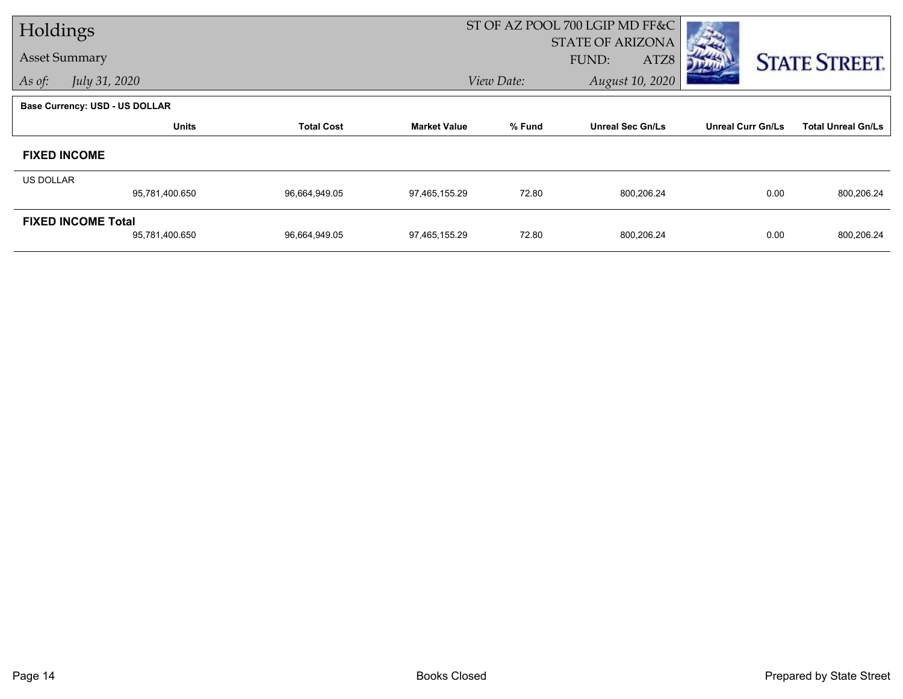| Holdings  |                                |                   |                     |            | ST OF AZ POOL 700 LGIP MD FF&C |                          |                           |
|-----------|--------------------------------|-------------------|---------------------|------------|--------------------------------|--------------------------|---------------------------|
|           |                                |                   |                     |            | <b>STATE OF ARIZONA</b>        |                          |                           |
|           | <b>Asset Summary</b>           |                   |                     |            | FUND:<br>ATZ8                  |                          | <b>STATE STREET.</b>      |
| As of:    | July 31, 2020                  |                   |                     | View Date: | August 10, 2020                |                          |                           |
|           | Base Currency: USD - US DOLLAR |                   |                     |            |                                |                          |                           |
|           | <b>Units</b>                   | <b>Total Cost</b> | <b>Market Value</b> | % Fund     | <b>Unreal Sec Gn/Ls</b>        | <b>Unreal Curr Gn/Ls</b> | <b>Total Unreal Gn/Ls</b> |
|           | <b>FIXED INCOME</b>            |                   |                     |            |                                |                          |                           |
| US DOLLAR |                                |                   |                     |            |                                |                          |                           |
|           | 95,781,400.650                 | 96,664,949.05     | 97,465,155.29       | 72.80      | 800,206.24                     | 0.00                     | 800,206.24                |
|           | <b>FIXED INCOME Total</b>      |                   |                     |            |                                |                          |                           |
|           | 95,781,400.650                 | 96,664,949.05     | 97,465,155.29       | 72.80      | 800,206.24                     | 0.00                     | 800,206.24                |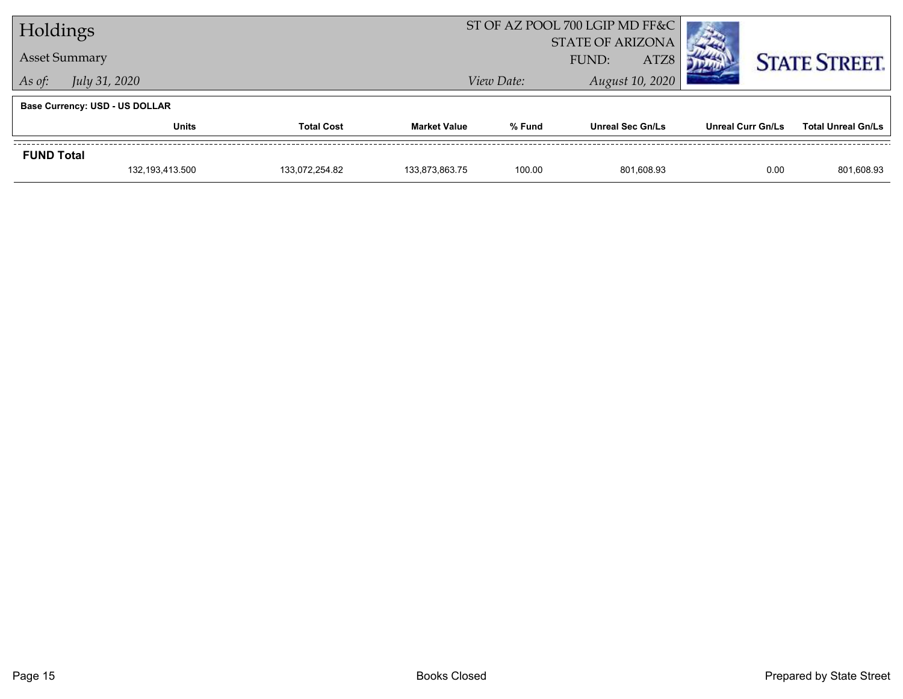| Holdings                              |                      |                   |                     |            | ST OF AZ POOL 700 LGIP MD FF&C |                   |                           |
|---------------------------------------|----------------------|-------------------|---------------------|------------|--------------------------------|-------------------|---------------------------|
|                                       |                      |                   |                     |            | <b>STATE OF ARIZONA</b>        |                   |                           |
|                                       | <b>Asset Summary</b> |                   |                     |            | ATZ8<br>FUND:                  |                   | <b>STATE STREET.</b>      |
| As of:                                | July 31, 2020        |                   |                     | View Date: | August 10, 2020                |                   |                           |
| <b>Base Currency: USD - US DOLLAR</b> |                      |                   |                     |            |                                |                   |                           |
|                                       | <b>Units</b>         | <b>Total Cost</b> | <b>Market Value</b> | % Fund     | <b>Unreal Sec Gn/Ls</b>        | Unreal Curr Gn/Ls | <b>Total Unreal Gn/Ls</b> |
| <b>FUND Total</b>                     |                      |                   |                     |            |                                |                   |                           |
|                                       | 132,193,413.500      | 133,072,254.82    | 133,873,863.75      | 100.00     | 801,608.93                     | 0.00              | 801,608.93                |